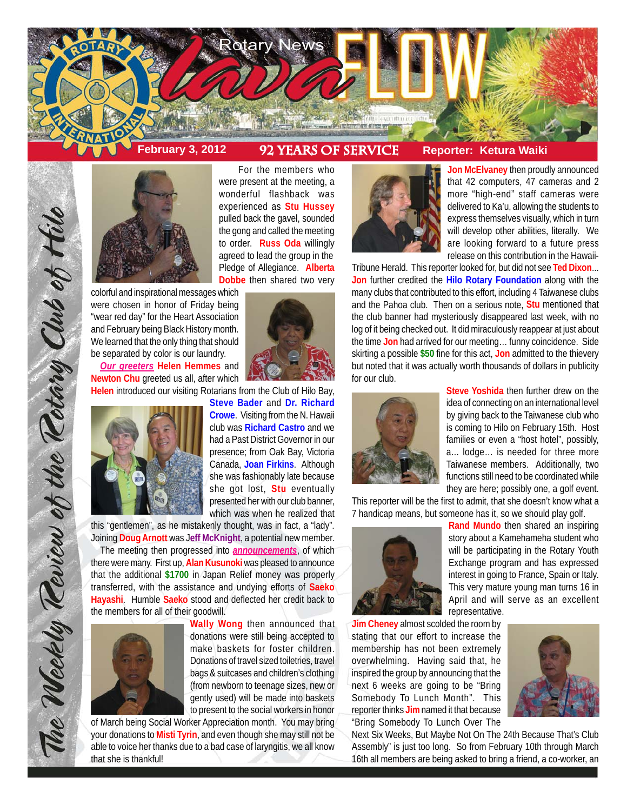

# February 3, 2012 92 YEARS OF SERVICE Reporter: Ketura Waiki



colorful and inspirational messages which were chosen in honor of Friday being "wear red day" for the Heart Association and February being Black History month. We learned that the only thing that should be separated by color is our laundry.

*Our greeters* **Helen Hemmes** and **Newton Chu** greeted us all, after which



The Weekly Teview of the Tetary Club of Hilo

For the members who were present at the meeting, a wonderful flashback was experienced as **Stu Hussey** pulled back the gavel, sounded the gong and called the meeting to order. **Russ Oda** willingly agreed to lead the group in the Pledge of Allegiance. **Alberta Dobbe** then shared two very



**Helen** introduced our visiting Rotarians from the Club of Hilo Bay,

**Steve Bader** and **Dr. Richard Crowe**. Visiting from the N. Hawaii club was **Richard Castro** and we had a Past District Governor in our presence; from Oak Bay, Victoria Canada, **Joan Firkins**. Although she was fashionably late because she got lost, **Stu** eventually presented her with our club banner, which was when he realized that

this "gentlemen", as he mistakenly thought, was in fact, a "lady". Joining **Doug Arnott** was J**eff McKnight**, a potential new member.

The meeting then progressed into *announcements*, of which there were many. First up, **Alan Kusunoki** was pleased to announce that the additional **\$1700** in Japan Relief money was properly transferred, with the assistance and undying efforts of **Saeko Hayashi**. Humble **Saeko** stood and deflected her credit back to the members for all of their goodwill.



**Wally Wong** then announced that donations were still being accepted to make baskets for foster children. Donations of travel sized toiletries, travel bags & suitcases and children's clothing (from newborn to teenage sizes, new or gently used) will be made into baskets to present to the social workers in honor

of March being Social Worker Appreciation month. You may bring your donations to **Misti Tyrin**, and even though she may still not be able to voice her thanks due to a bad case of laryngitis, we all know that she is thankful!



**Jon McElvaney** then proudly announced that 42 computers, 47 cameras and 2 more "high-end" staff cameras were delivered to Ka'u, allowing the students to express themselves visually, which in turn will develop other abilities, literally. We are looking forward to a future press release on this contribution in the Hawaii-

Tribune Herald. This reporter looked for, but did not see **Ted Dixon**... **Jon** further credited the **Hilo Rotary Foundation** along with the many clubs that contributed to this effort, including 4 Taiwanese clubs and the Pahoa club. Then on a serious note, **Stu** mentioned that the club banner had mysteriously disappeared last week, with no log of it being checked out. It did miraculously reappear at just about the time **Jon** had arrived for our meeting… funny coincidence. Side skirting a possible **\$50** fine for this act, **Jon** admitted to the thievery but noted that it was actually worth thousands of dollars in publicity for our club.



**Steve Yoshida** then further drew on the idea of connecting on an international level by giving back to the Taiwanese club who is coming to Hilo on February 15th. Host families or even a "host hotel", possibly, a... lodge… is needed for three more Taiwanese members. Additionally, two functions still need to be coordinated while they are here; possibly one, a golf event.

This reporter will be the first to admit, that she doesn't know what a 7 handicap means, but someone has it, so we should play golf.



**Rand Mundo** then shared an inspiring story about a Kamehameha student who will be participating in the Rotary Youth Exchange program and has expressed interest in going to France, Spain or Italy. This very mature young man turns 16 in April and will serve as an excellent representative.

**Jim Cheney** almost scolded the room by stating that our effort to increase the membership has not been extremely overwhelming. Having said that, he inspired the group by announcing that the next 6 weeks are going to be "Bring Somebody To Lunch Month". This reporter thinks **Jim** named it that because "Bring Somebody To Lunch Over The



Next Six Weeks, But Maybe Not On The 24th Because That's Club Assembly" is just too long. So from February 10th through March 16th all members are being asked to bring a friend, a co-worker, an